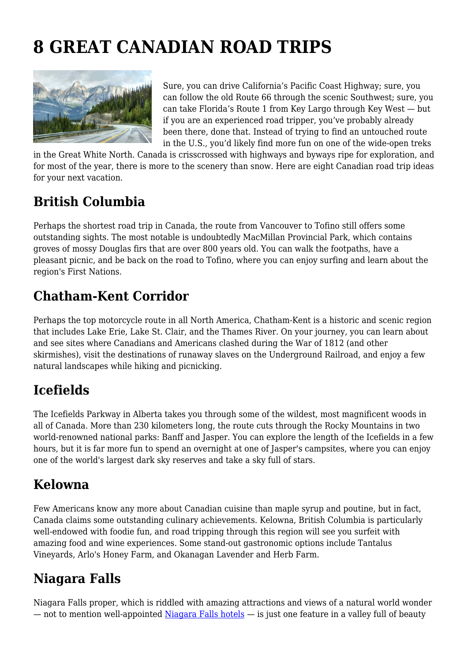# **8 GREAT CANADIAN ROAD TRIPS**



Sure, you can drive California's Pacific Coast Highway; sure, you can follow the old Route 66 through the scenic Southwest; sure, you can take Florida's Route 1 from Key Largo through Key West — but if you are an experienced road tripper, you've probably already been there, done that. Instead of trying to find an untouched route in the U.S., you'd likely find more fun on one of the wide-open treks

in the Great White North. Canada is crisscrossed with highways and byways ripe for exploration, and for most of the year, there is more to the scenery than snow. Here are eight Canadian road trip ideas for your next vacation.

## **British Columbia**

Perhaps the shortest road trip in Canada, the route from Vancouver to Tofino still offers some outstanding sights. The most notable is undoubtedly MacMillan Provincial Park, which contains groves of mossy Douglas firs that are over 800 years old. You can walk the footpaths, have a pleasant picnic, and be back on the road to Tofino, where you can enjoy surfing and learn about the region's First Nations.

## **Chatham-Kent Corridor**

Perhaps the top motorcycle route in all North America, Chatham-Kent is a historic and scenic region that includes Lake Erie, Lake St. Clair, and the Thames River. On your journey, you can learn about and see sites where Canadians and Americans clashed during the War of 1812 (and other skirmishes), visit the destinations of runaway slaves on the Underground Railroad, and enjoy a few natural landscapes while hiking and picnicking.

# **Icefields**

The Icefields Parkway in Alberta takes you through some of the wildest, most magnificent woods in all of Canada. More than 230 kilometers long, the route cuts through the Rocky Mountains in two world-renowned national parks: Banff and Jasper. You can explore the length of the Icefields in a few hours, but it is far more fun to spend an overnight at one of Jasper's campsites, where you can enjoy one of the world's largest dark sky reserves and take a sky full of stars.

# **Kelowna**

Few Americans know any more about Canadian cuisine than maple syrup and poutine, but in fact, Canada claims some outstanding culinary achievements. Kelowna, British Columbia is particularly well-endowed with foodie fun, and road tripping through this region will see you surfeit with amazing food and wine experiences. Some stand-out gastronomic options include Tantalus Vineyards, Arlo's Honey Farm, and Okanagan Lavender and Herb Farm.

## **Niagara Falls**

Niagara Falls proper, which is riddled with amazing attractions and views of a natural world wonder — not to mention well-appointed [Niagara Falls hotels](https://www.niagarafallshotels.com/top-10-niagara-falls-hotels/) — is just one feature in a valley full of beauty